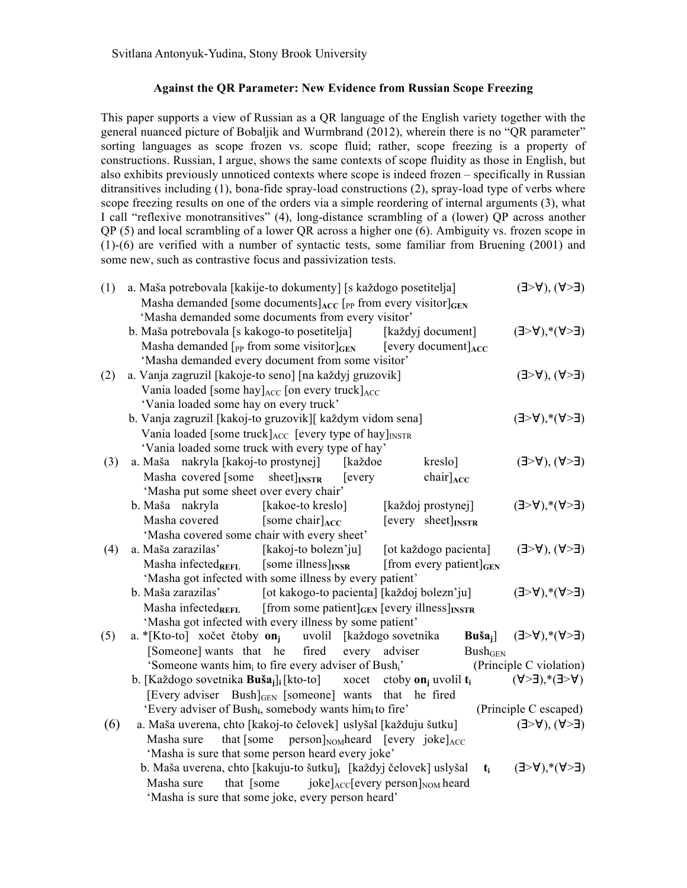## **Against the QR Parameter: New Evidence from Russian Scope Freezing**

This paper supports a view of Russian as a QR language of the English variety together with the general nuanced picture of Bobaljik and Wurmbrand (2012), wherein there is no "QR parameter" sorting languages as scope frozen vs. scope fluid; rather, scope freezing is a property of constructions. Russian, I argue, shows the same contexts of scope fluidity as those in English, but also exhibits previously unnoticed contexts where scope is indeed frozen – specifically in Russian ditransitives including (1), bona-fide spray-load constructions (2), spray-load type of verbs where scope freezing results on one of the orders via a simple reordering of internal arguments (3), what I call "reflexive monotransitives" (4), long-distance scrambling of a (lower) QP across another QP (5) and local scrambling of a lower QR across a higher one (6). Ambiguity vs. frozen scope in (1)-(6) are verified with a number of syntactic tests, some familiar from Bruening (2001) and some new, such as contrastive focus and passivization tests.

| (1) | a. Maša potrebovala [kakije-to dokumenty] [s každogo posetitelja]                                                                                    | $(E<\forall)$ , $(\forall<\exists)$          |
|-----|------------------------------------------------------------------------------------------------------------------------------------------------------|----------------------------------------------|
|     | Masha demanded [some documents] $_{\text{ACC}}$ [ <sub>PP</sub> from every visitor] $_{\text{GEN}}$                                                  |                                              |
|     | 'Masha demanded some documents from every visitor'                                                                                                   |                                              |
|     | b. Maša potrebovala [s kakogo-to posetitelja]<br>[každyj document]                                                                                   | $(\exists > A)$ <sup>*</sup> $(A > \exists)$ |
|     | Masha demanded $\lceil_{PP}$ from some visitor $\lceil_{GEN} \rceil$ [every document] $_{ACC}$                                                       |                                              |
|     | 'Masha demanded every document from some visitor'                                                                                                    |                                              |
| (2) | a. Vanja zagruzil [kakoje-to seno] [na každyj gruzovik]                                                                                              | $(\exists > A)$ , $(A > \exists)$            |
|     | Vania loaded [some hay] $_{\text{ACC}}$ [on every truck] $_{\text{ACC}}$                                                                             |                                              |
|     | 'Vania loaded some hay on every truck'                                                                                                               |                                              |
|     | b. Vanja zagruzil [kakoj-to gruzovik][ každym vidom sena]                                                                                            | $(E<\forall)$ , $\forall$ $(E<\exists)$      |
|     | Vania loaded [some truck] $_{\text{ACC}}$ [every type of hay] $_{\text{INSTR}}$                                                                      |                                              |
|     | 'Vania loaded some truck with every type of hay'                                                                                                     |                                              |
| (3) | a. Maša nakryla [kakoj-to prostynej]<br>kreslo]<br>[každoe                                                                                           | $(\exists > A)$ , $(A > \exists)$            |
|     | Masha covered [some<br>$sheet$ <sub>INSTR</sub><br>$\text{chair}$ <sub>ACC</sub><br>[every]                                                          |                                              |
|     | 'Masha put some sheet over every chair'                                                                                                              |                                              |
|     | b. Maša nakryla<br>[kakoe-to kreslo]<br>[každoj prostynej]                                                                                           | $(\exists > A)$ <sup>*</sup> (A> $\exists$ ) |
|     | Masha covered<br>[some chair] $_{\text{ACC}}$<br>$[every \; sheet]_{INSTR}$                                                                          |                                              |
|     | 'Masha covered some chair with every sheet'<br>a. Maša zarazilas'<br>[kakoj-to bolezn'ju] [ot každogo pacienta]                                      | $(\exists > A)$ , $(A > \exists)$            |
| (4) |                                                                                                                                                      |                                              |
|     | Masha infected $_{REFL}$ [some illness] $_{INSR}$<br>[from every patient] $_{\text{GEN}}$<br>'Masha got infected with some illness by every patient' |                                              |
|     | b. Maša zarazilas'<br>[ot kakogo-to pacienta] [každoj bolezn'ju]                                                                                     | $(E<\forall)$ , $\forall$ $(E<\exists)$      |
|     | Masha infected <sub>REFL</sub> [from some patient] $_{GEN}$ [every illness] $_{INSTR}$                                                               |                                              |
|     | 'Masha got infected with every illness by some patient'                                                                                              |                                              |
| (5) | a. *[Kto-to] xočet čtoby on <sub>i</sub> uvolil [každogo sovetnika<br>$\text{Buša}_i$                                                                | $(E<\mathsf{A})^*(\mathsf{A}\leq E)$         |
|     | [Someone] wants that he<br>fired<br>every<br>Bush <sub>GEN</sub><br>adviser                                                                          |                                              |
|     | 'Someone wants him <sub>i</sub> to fire every adviser of Bush <sub>i</sub> '                                                                         | (Principle C violation)                      |
|     | b. [Každogo sovetnika <b>Buša</b> <sub>i</sub> ] <sub>i</sub> [kto-to] xocet<br>ctoby <b>on</b> <sub>i</sub> uvolil $t_i$                            | $(\forall >\exists), *(\exists >\forall)$    |
|     | [Every adviser $Bush _{GEN}$ [someone] wants<br>that he fired                                                                                        |                                              |
|     | 'Every adviser of Bush <sub>i</sub> , somebody wants him <sub>i</sub> to fire'                                                                       | (Principle C escaped)                        |
| (6) | a. Maša uverena, chto [kakoj-to čelovek] uslyšal [každuju šutku]                                                                                     | $(\exists > A)$ , $(A > \exists)$            |
|     | that [some person] $_{\text{NOM}}$ heard [every joke] $_{\text{ACC}}$<br>Masha sure                                                                  |                                              |
|     | 'Masha is sure that some person heard every joke'                                                                                                    |                                              |
|     | b. Maša uverena, chto [kakuju-to šutku] <sub>i</sub> [každyj čelovek] uslyšal<br>$t_i$                                                               | $(E<\forall)$ , $\star$ $(E<\exists)$        |
|     | that [some $joke]_{ACC}$ [every person] <sub>NOM</sub> heard<br>Masha sure                                                                           |                                              |
|     | 'Masha is sure that some joke, every person heard'                                                                                                   |                                              |
|     |                                                                                                                                                      |                                              |